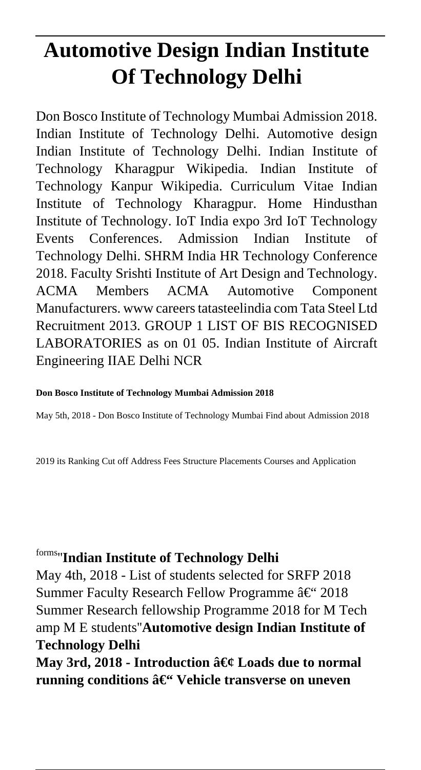# **Automotive Design Indian Institute Of Technology Delhi**

Don Bosco Institute of Technology Mumbai Admission 2018. Indian Institute of Technology Delhi. Automotive design Indian Institute of Technology Delhi. Indian Institute of Technology Kharagpur Wikipedia. Indian Institute of Technology Kanpur Wikipedia. Curriculum Vitae Indian Institute of Technology Kharagpur. Home Hindusthan Institute of Technology. IoT India expo 3rd IoT Technology Events Conferences. Admission Indian Institute of Technology Delhi. SHRM India HR Technology Conference 2018. Faculty Srishti Institute of Art Design and Technology. ACMA Members ACMA Automotive Component Manufacturers. www careers tatasteelindia com Tata Steel Ltd Recruitment 2013. GROUP 1 LIST OF BIS RECOGNISED LABORATORIES as on 01 05. Indian Institute of Aircraft Engineering IIAE Delhi NCR

#### **Don Bosco Institute of Technology Mumbai Admission 2018**

May 5th, 2018 - Don Bosco Institute of Technology Mumbai Find about Admission 2018

2019 its Ranking Cut off Address Fees Structure Placements Courses and Application

## forms''**Indian Institute of Technology Delhi**

May 4th, 2018 - List of students selected for SRFP 2018 Summer Faculty Research Fellow Programme  $\hat{a} \in$  2018 Summer Research fellowship Programme 2018 for M Tech amp M E students''**Automotive design Indian Institute of Technology Delhi**

May 3rd, 2018 - Introduction • Loads due to normal running conditions â€<sup>"</sup> Vehicle transverse on uneven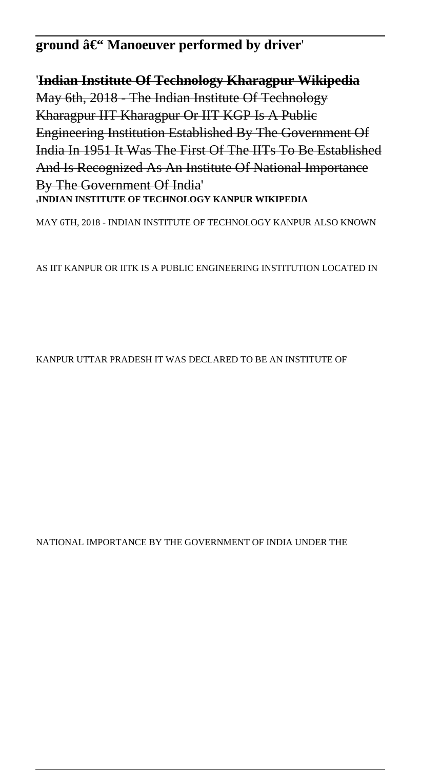# ground â€<sup>"</sup> Manoeuver performed by driver<sup>'</sup>

'**Indian Institute Of Technology Kharagpur Wikipedia** May 6th, 2018 - The Indian Institute Of Technology Kharagpur IIT Kharagpur Or IIT KGP Is A Public Engineering Institution Established By The Government Of India In 1951 It Was The First Of The IITs To Be Established And Is Recognized As An Institute Of National Importance By The Government Of India' '**INDIAN INSTITUTE OF TECHNOLOGY KANPUR WIKIPEDIA**

MAY 6TH, 2018 - INDIAN INSTITUTE OF TECHNOLOGY KANPUR ALSO KNOWN

AS IIT KANPUR OR IITK IS A PUBLIC ENGINEERING INSTITUTION LOCATED IN

KANPUR UTTAR PRADESH IT WAS DECLARED TO BE AN INSTITUTE OF

NATIONAL IMPORTANCE BY THE GOVERNMENT OF INDIA UNDER THE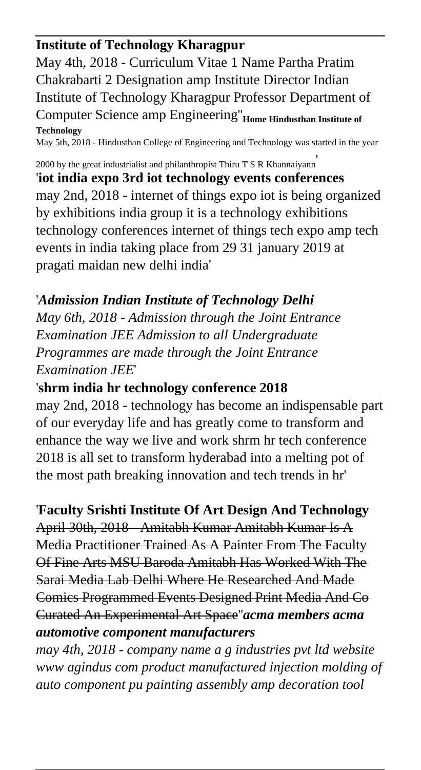#### **Institute of Technology Kharagpur**

May 4th, 2018 - Curriculum Vitae 1 Name Partha Pratim Chakrabarti 2 Designation amp Institute Director Indian Institute of Technology Kharagpur Professor Department of Computer Science amp Engineering''**Home Hindusthan Institute of Technology** May 5th, 2018 - Hindusthan College of Engineering and Technology was started in the year

2000 by the great industrialist and philanthropist Thiru T S R Khannaiyann'

'**iot india expo 3rd iot technology events conferences** may 2nd, 2018 - internet of things expo iot is being organized by exhibitions india group it is a technology exhibitions technology conferences internet of things tech expo amp tech events in india taking place from 29 31 january 2019 at pragati maidan new delhi india'

### '*Admission Indian Institute of Technology Delhi*

*May 6th, 2018 - Admission through the Joint Entrance Examination JEE Admission to all Undergraduate Programmes are made through the Joint Entrance Examination JEE*'

#### '**shrm india hr technology conference 2018**

may 2nd, 2018 - technology has become an indispensable part of our everyday life and has greatly come to transform and enhance the way we live and work shrm hr tech conference 2018 is all set to transform hyderabad into a melting pot of the most path breaking innovation and tech trends in hr'

#### '**Faculty Srishti Institute Of Art Design And Technology**

April 30th, 2018 - Amitabh Kumar Amitabh Kumar Is A Media Practitioner Trained As A Painter From The Faculty Of Fine Arts MSU Baroda Amitabh Has Worked With The Sarai Media Lab Delhi Where He Researched And Made Comics Programmed Events Designed Print Media And Co Curated An Experimental Art Space''*acma members acma automotive component manufacturers*

*may 4th, 2018 - company name a g industries pvt ltd website www agindus com product manufactured injection molding of auto component pu painting assembly amp decoration tool*